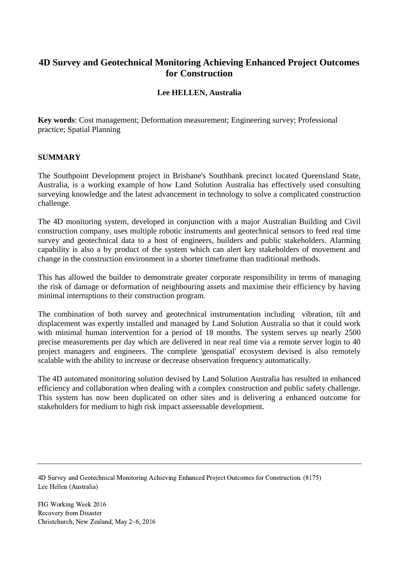# **4D Survey and Geotechnical Monitoring Achieving Enhanced Project Outcomes for Construction**

# **Lee HELLEN, Australia**

**Key words**: Cost management; Deformation measurement; Engineering survey; Professional practice; Spatial Planning

#### **SUMMARY**

The Southpoint Development project in Brisbane's Southbank precinct located Queensland State, Australia, is a working example of how Land Solution Australia has effectively used consulting surveying knowledge and the latest advancement in technology to solve a complicated construction challenge.

The 4D monitoring system, developed in conjunction with a major Australian Building and Civil construction company, uses multiple robotic instruments and geotechnical sensors to feed real time survey and geotechnical data to a host of engineers, builders and public stakeholders. Alarming capability is also a by product of the system which can alert key stakeholders of movement and change in the construction environment in a shorter timeframe than traditional methods.

This has allowed the builder to demonstrate greater corporate responsibility in terms of managing the risk of damage or deformation of neighbouring assets and maximise their efficiency by having minimal interruptions to their construction program.

The combination of both survey and geotechnical instrumentation including vibration, tilt and displacement was expertly installed and managed by Land Solution Australia so that it could work with minimal human intervention for a period of 18 months. The system serves up nearly 2500 precise measurements per day which are delivered in near real time via a remote server login to 40 project managers and engineers. The complete 'geospatial' ecosystem devised is also remotely scalable with the ability to increase or decrease observation frequency automatically.

The 4D automated monitoring solution devised by Land Solution Australia has resulted in enhanced efficiency and collaboration when dealing with a complex construction and public safety challenge. This system has now been duplicated on other sites and is delivering a enhanced outcome for stakeholders for medium to high risk impact asseessable development.

4D Survey and Geotechnical Monitoring Achieving Enhanced Project Outcomes for Construction. (8175) Lee Hellen (Australia)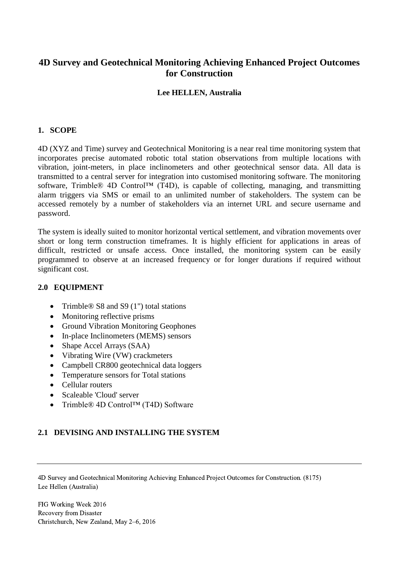# **4D Survey and Geotechnical Monitoring Achieving Enhanced Project Outcomes for Construction**

## **Lee HELLEN, Australia**

#### **1. SCOPE**

4D (XYZ and Time) survey and Geotechnical Monitoring is a near real time monitoring system that incorporates precise automated robotic total station observations from multiple locations with vibration, joint-meters, in place inclinometers and other geotechnical sensor data. All data is transmitted to a central server for integration into customised monitoring software. The monitoring software, Trimble® 4D Control<sup>™</sup> (T4D), is capable of collecting, managing, and transmitting alarm triggers via SMS or email to an unlimited number of stakeholders. The system can be accessed remotely by a number of stakeholders via an internet URL and secure username and password.

The system is ideally suited to monitor horizontal vertical settlement, and vibration movements over short or long term construction timeframes. It is highly efficient for applications in areas of difficult, restricted or unsafe access. Once installed, the monitoring system can be easily programmed to observe at an increased frequency or for longer durations if required without significant cost.

#### **2.0 EQUIPMENT**

- Trimble® S8 and S9  $(1")$  total stations
- Monitoring reflective prisms
- Ground Vibration Monitoring Geophones
- In-place Inclinometers (MEMS) sensors
- Shape Accel Arrays (SAA)
- Vibrating Wire (VW) crackmeters
- Campbell CR800 geotechnical data loggers
- Temperature sensors for Total stations
- Cellular routers
- Scaleable 'Cloud' server
- Trimble® 4D Control™ (T4D) Software

### **2.1 DEVISING AND INSTALLING THE SYSTEM**

4D Survey and Geotechnical Monitoring Achieving Enhanced Project Outcomes for Construction. (8175) Lee Hellen (Australia)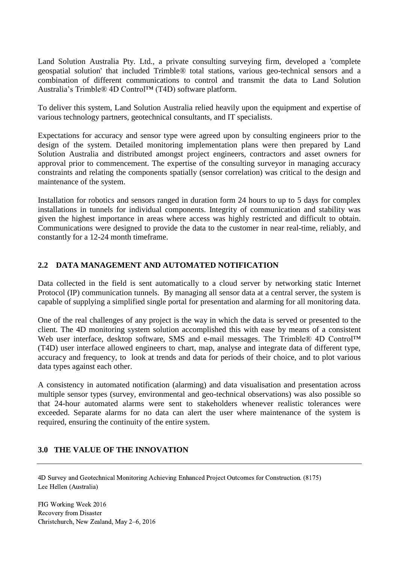Land Solution Australia Pty. Ltd., a private consulting surveying firm, developed a 'complete geospatial solution' that included Trimble® total stations, various geo-technical sensors and a combination of different communications to control and transmit the data to Land Solution Australia's Trimble® 4D Control™ (T4D) software platform.

To deliver this system, Land Solution Australia relied heavily upon the equipment and expertise of various technology partners, geotechnical consultants, and IT specialists.

Expectations for accuracy and sensor type were agreed upon by consulting engineers prior to the design of the system. Detailed monitoring implementation plans were then prepared by Land Solution Australia and distributed amongst project engineers, contractors and asset owners for approval prior to commencement. The expertise of the consulting surveyor in managing accuracy constraints and relating the components spatially (sensor correlation) was critical to the design and maintenance of the system.

Installation for robotics and sensors ranged in duration form 24 hours to up to 5 days for complex installations in tunnels for individual components. Integrity of communication and stability was given the highest importance in areas where access was highly restricted and difficult to obtain. Communications were designed to provide the data to the customer in near real-time, reliably, and constantly for a 12-24 month timeframe.

# **2.2 DATA MANAGEMENT AND AUTOMATED NOTIFICATION**

Data collected in the field is sent automatically to a cloud server by networking static Internet Protocol (IP) communication tunnels. By managing all sensor data at a central server, the system is capable of supplying a simplified single portal for presentation and alarming for all monitoring data.

One of the real challenges of any project is the way in which the data is served or presented to the client. The 4D monitoring system solution accomplished this with ease by means of a consistent Web user interface, desktop software, SMS and e-mail messages. The Trimble® 4D Control™ (T4D) user interface allowed engineers to chart, map, analyse and integrate data of different type, accuracy and frequency, to look at trends and data for periods of their choice, and to plot various data types against each other.

A consistency in automated notification (alarming) and data visualisation and presentation across multiple sensor types (survey, environmental and geo-technical observations) was also possible so that 24-hour automated alarms were sent to stakeholders whenever realistic tolerances were exceeded. Separate alarms for no data can alert the user where maintenance of the system is required, ensuring the continuity of the entire system.

### **3.0 THE VALUE OF THE INNOVATION**

4D Survey and Geotechnical Monitoring Achieving Enhanced Project Outcomes for Construction. (8175) Lee Hellen (Australia)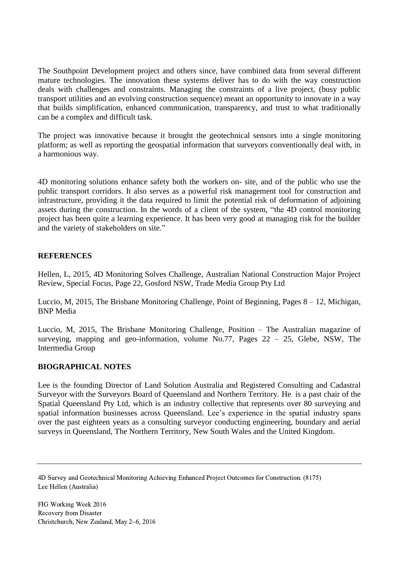The Southpoint Development project and others since, have combined data from several different mature technologies. The innovation these systems deliver has to do with the way construction deals with challenges and constraints. Managing the constraints of a live project, (busy public transport utilities and an evolving construction sequence) meant an opportunity to innovate in a way that builds simplification, enhanced communication, transparency, and trust to what traditionally can be a complex and difficult task.

The project was innovative because it brought the geotechnical sensors into a single monitoring platform; as well as reporting the geospatial information that surveyors conventionally deal with, in a harmonious way.

4D monitoring solutions enhance safety both the workers on- site, and of the public who use the public transport corridors. It also serves as a powerful risk management tool for construction and infrastructure, providing it the data required to limit the potential risk of deformation of adjoining assets during the construction. In the words of a client of the system, "the 4D control monitoring project has been quite a learning experience. It has been very good at managing risk for the builder and the variety of stakeholders on site."

# **REFERENCES**

Hellen, L, 2015, 4D Monitoring Solves Challenge, Australian National Construction Major Project Review, Special Focus, Page 22, Gosford NSW, Trade Media Group Pty Ltd

Luccio, M, 2015, The Brisbane Monitoring Challenge, Point of Beginning, Pages 8 – 12, Michigan, BNP Media

Luccio, M, 2015, The Brisbane Monitoring Challenge, Position – The Australian magazine of surveying, mapping and geo-information, volume No.77, Pages  $22 - 25$ , Glebe, NSW, The Intermedia Group

### **BIOGRAPHICAL NOTES**

Lee is the founding Director of Land Solution Australia and Registered Consulting and Cadastral Surveyor with the Surveyors Board of Queensland and Northern Territory. He is a past chair of the Spatial Queensland Pty Ltd, which is an industry collective that represents over 80 surveying and spatial information businesses across Queensland. Lee's experience in the spatial industry spans over the past eighteen years as a consulting surveyor conducting engineering, boundary and aerial surveys in Queensland, The Northern Territory, New South Wales and the United Kingdom.

<sup>4</sup>D Survey and Geotechnical Monitoring Achieving Enhanced Project Outcomes for Construction. (8175) Lee Hellen (Australia)